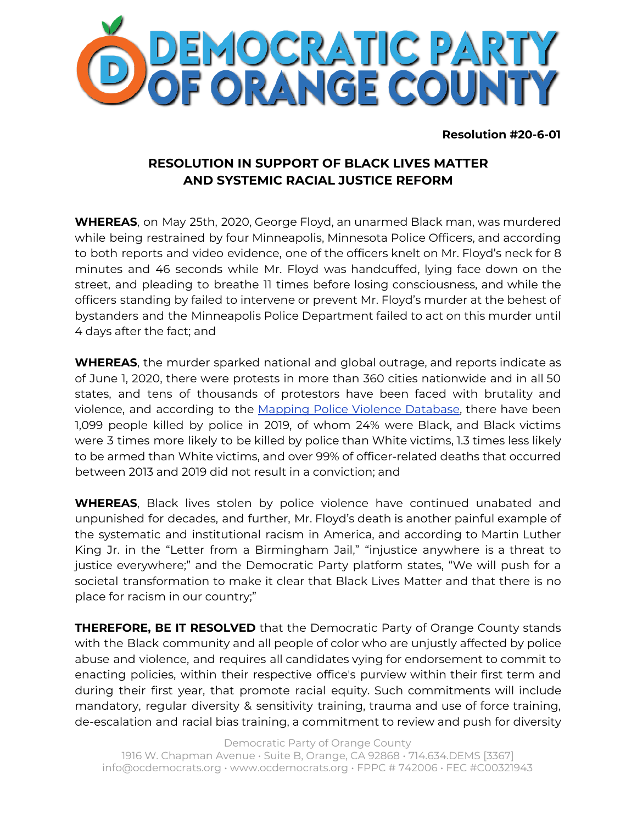

**Resolution #20-6-01**

## **RESOLUTION IN SUPPORT OF BLACK LIVES MATTER AND SYSTEMIC RACIAL JUSTICE REFORM**

**WHEREAS**, on May 25th, 2020, George Floyd, an unarmed Black man, was murdered while being restrained by four Minneapolis, Minnesota Police Officers, and according to both reports and video evidence, one of the officers knelt on Mr. Floyd's neck for 8 minutes and 46 seconds while Mr. Floyd was handcuffed, lying face down on the street, and pleading to breathe 11 times before losing consciousness, and while the officers standing by failed to intervene or prevent Mr. Floyd's murder at the behest of bystanders and the Minneapolis Police Department failed to act on this murder until 4 days after the fact; and

**WHEREAS**, the murder sparked national and global outrage, and reports indicate as of June 1, 2020, there were protests in more than 360 cities nationwide and in all 50 states, and tens of thousands of protestors have been faced with brutality and viol[e](https://mappingpoliceviolence.org/)nce, and according to the Mapping Police Violence [Database](https://mappingpoliceviolence.org/), there have been 1,099 people killed by police in 2019, of whom 24% were Black, and Black victims were 3 times more likely to be killed by police than White victims, 1.3 times less likely to be armed than White victims, and over 99% of officer-related deaths that occurred between 2013 and 2019 did not result in a conviction; and

**WHEREAS**, Black lives stolen by police violence have continued unabated and unpunished for decades, and further, Mr. Floyd's death is another painful example of the systematic and institutional racism in America, and according to Martin Luther King Jr. in the "Letter from a Birmingham Jail," "injustice anywhere is a threat to justice everywhere;" and the Democratic Party platform states, "We will push for a societal transformation to make it clear that Black Lives Matter and that there is no place for racism in our country;"

**THEREFORE, BE IT RESOLVED** that the Democratic Party of Orange County stands with the Black community and all people of color who are unjustly affected by police abuse and violence, and requires all candidates vying for endorsement to commit to enacting policies, within their respective office's purview within their first term and during their first year, that promote racial equity. Such commitments will include mandatory, regular diversity & sensitivity training, trauma and use of force training, de-escalation and racial bias training, a commitment to review and push for diversity